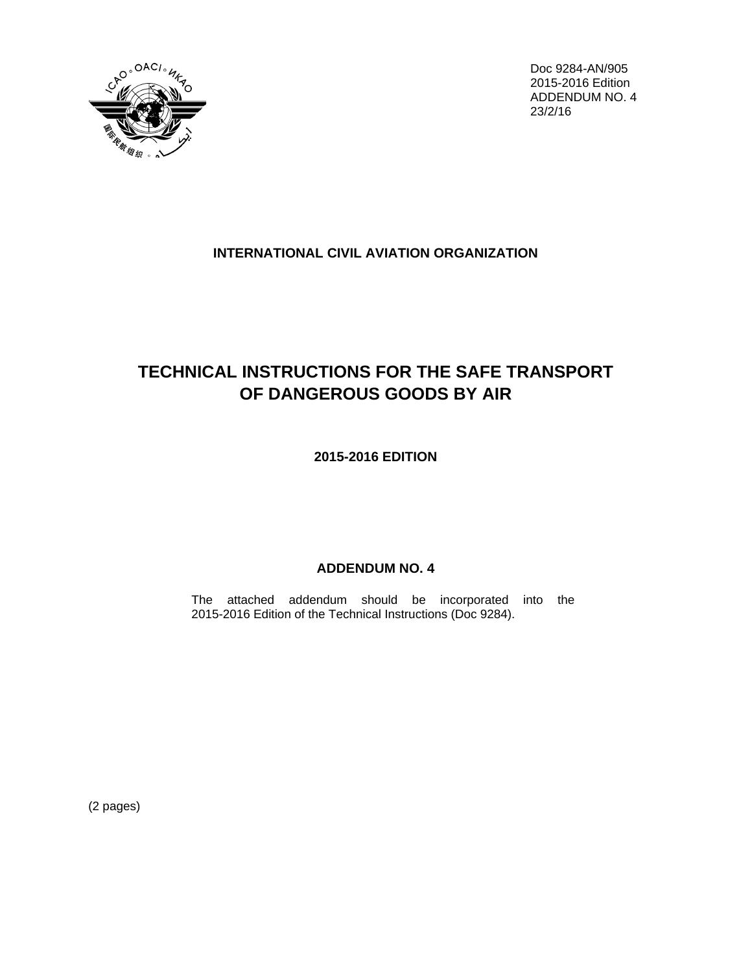

Doc 9284-AN/905 2015-2016 Edition ADDENDUM NO. 4 23/2/16

## **INTERNATIONAL CIVIL AVIATION ORGANIZATION**

## **TECHNICAL INSTRUCTIONS FOR THE SAFE TRANSPORT OF DANGEROUS GOODS BY AIR**

**2015-2016 EDITION**

## **ADDENDUM NO. 4**

The attached addendum should be incorporated into the 2015-2016 Edition of the Technical Instructions (Doc 9284).

(2 pages)